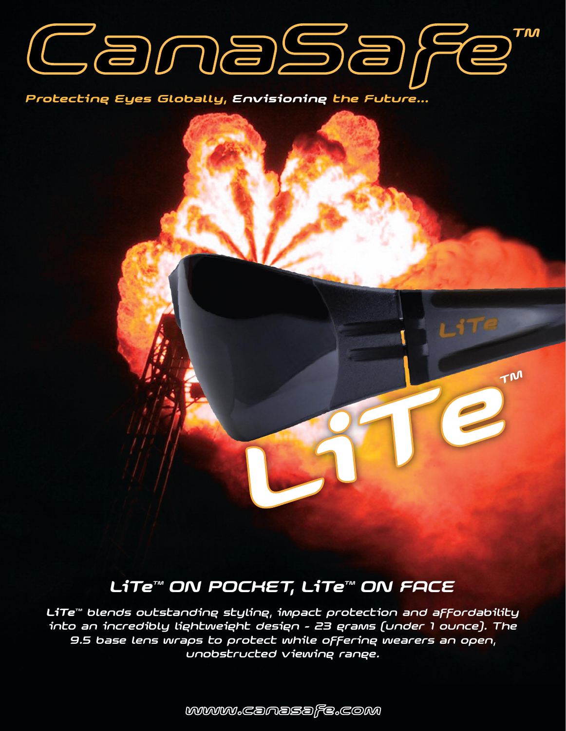

*Protecting Eyes Globally, Envisioning the Future...*

## **LiTe™ ON POCHET, LiTe™ ON FACE**

*LiTeTM*

LiTe™ blends outstanding styling, impact protection and affordability *into an incredibly lightweight design - 23 grams (under 1 ounce). The 9.5 base lens wraps to protect while offering wearers an open, unobstructed viewing range.*